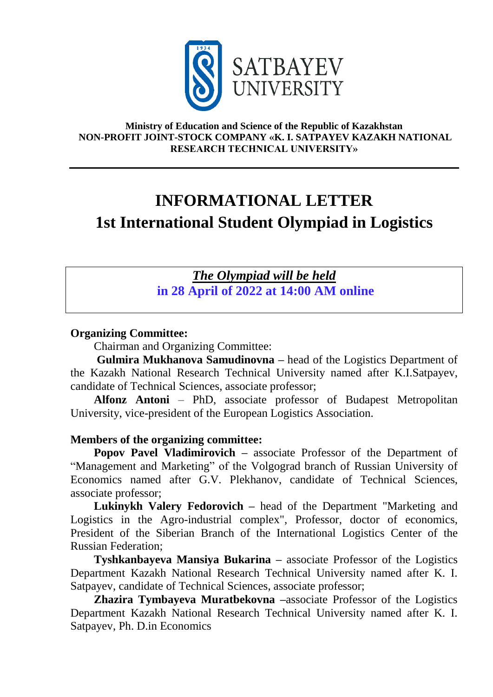

#### **Ministry of Education and Science of the Republic of Kazakhstan NON-PROFIT JOINT-STOCK COMPANY «K. I. SATPAYEV KAZAKH NATIONAL RESEARCH TECHNICAL UNIVERSITY»**

# **INFORMATIONAL LETTER 1st International Student Olympiad in Logistics**

# *The Olympiad will be held* **in 28 April of 2022 at 14:00 AM online**

#### **Organizing Committee:**

Chairman and Organizing Committee:

**Gulmira Mukhanova Samudinovna –** head of the Logistics Department of the Kazakh National Research Technical University named after K.I.Satpayev, candidate of Technical Sciences, associate professor;

**Alfonz Antoni** – PhD, associate professor of Budapest Metropolitan University, vice-president of the European Logistics Association.

#### **Members of the organizing committee:**

**Popov Pavel Vladimirovich –** associate Professor of the Department of "Management and Marketing" of the Volgograd branch of Russian University of Economics named after G.V. Plekhanov, candidate of Technical Sciences, associate professor;

**Lukinykh Valery Fedorovich –** head of the Department "Marketing and Logistics in the Agro-industrial complex", Professor, doctor of economics, President of the Siberian Branch of the International Logistics Center of the Russian Federation;

**Tyshkanbayeva Mansiya Bukarina –** associate Professor of the Logistics Department Kazakh National Research Technical University named after K. I. Satpayev, candidate of Technical Sciences, associate professor;

**Zhazira Tymbayeva Muratbekovna –**associate Professor of the Logistics Department Kazakh National Research Technical University named after K. I. Satpayev, Ph. D.in Economics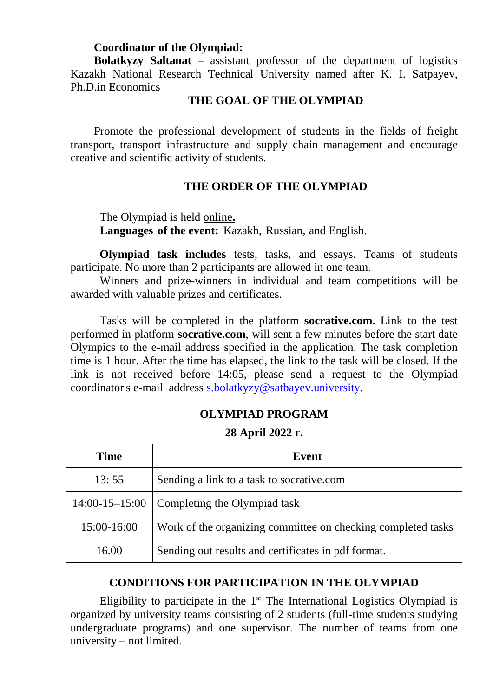#### **Coordinator of the Olympiad:**

**Bolatkyzy Saltanat** – assistant professor of the department of logistics Kazakh National Research Technical University named after K. I. Satpayev, Ph.D.in Economics

#### **THE GOAL OF THE OLYMPIAD**

Promote the professional development of students in the fields of freight transport, transport infrastructure and supply chain management and encourage creative and scientific activity of students.

#### **THE ORDER OF THE OLYMPIAD**

The Olympiad is held online**. Languages of the event:** Kazakh, Russian, and English.

**Olympiad task includes** tests, tasks, and essays. Teams of students participate. No more than 2 participants are allowed in one team.

Winners and prize-winners in individual and team competitions will be awarded with valuable prizes and certificates.

Tasks will be completed in the platform **socrative.com**. Link to the test performed in platform **socrative.com**, will sent a few minutes before the start date Olympics to the e-mail address specified in the application. The task completion time is 1 hour. After the time has elapsed, the link to the task will be closed. If the link is not received before 14:05, please send a request to the Olympiad coordinator's e-mail address [s.bolatkyzy@satbayev.university.](mailto:s.bolatkyzy@satbayev.university)

#### **OLYMPIAD PROGRAM**

#### **28 April 2022 г.**

| <b>Time</b> | Event                                                        |
|-------------|--------------------------------------------------------------|
| 13:55       | Sending a link to a task to socrative.com                    |
|             | 14:00-15-15:00   Completing the Olympiad task                |
| 15:00-16:00 | Work of the organizing committee on checking completed tasks |
| 16.00       | Sending out results and certificates in pdf format.          |

#### **CONDITIONS FOR PARTICIPATION IN THE OLYMPIAD**

Eligibility to participate in the  $1<sup>st</sup>$  The International Logistics Olympiad is organized by university teams consisting of 2 students (full-time students studying undergraduate programs) and one supervisor. The number of teams from one university – not limited.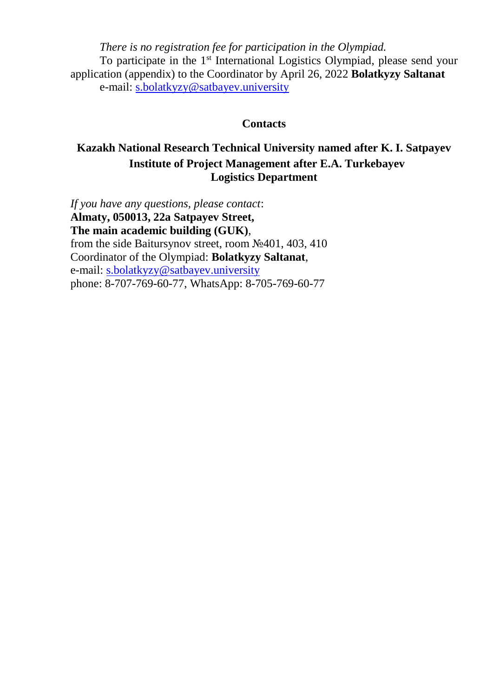*There is no registration fee for participation in the Olympiad.* To participate in the 1<sup>st</sup> International Logistics Olympiad, please send your application (appendix) to the Coordinator by April 26, 2022 **Bolatkyzy Saltanat**  e-mail: [s.bolatkyzy@satbayev.university](mailto:s.bolatkyzy@satbayev.university)

#### **Contacts**

## **Kazakh National Research Technical University named after K. I. Satpayev Institute of Project Management after E.A. Turkebayev Logistics Department**

*If you have any questions, please contact*: **Almaty, 050013, 22a Satpayev Street, The main academic building (GUK)**, from the side Baitursynov street, room №401, 403, 410 Coordinator of the Olympiad: **Bolatkyzy Saltanat**, e-mail: [s.bolatkyzy@satbayev.university](mailto:s.bolatkyzy@satbayev.university) phone: 8-707-769-60-77, WhatsApp: 8-705-769-60-77